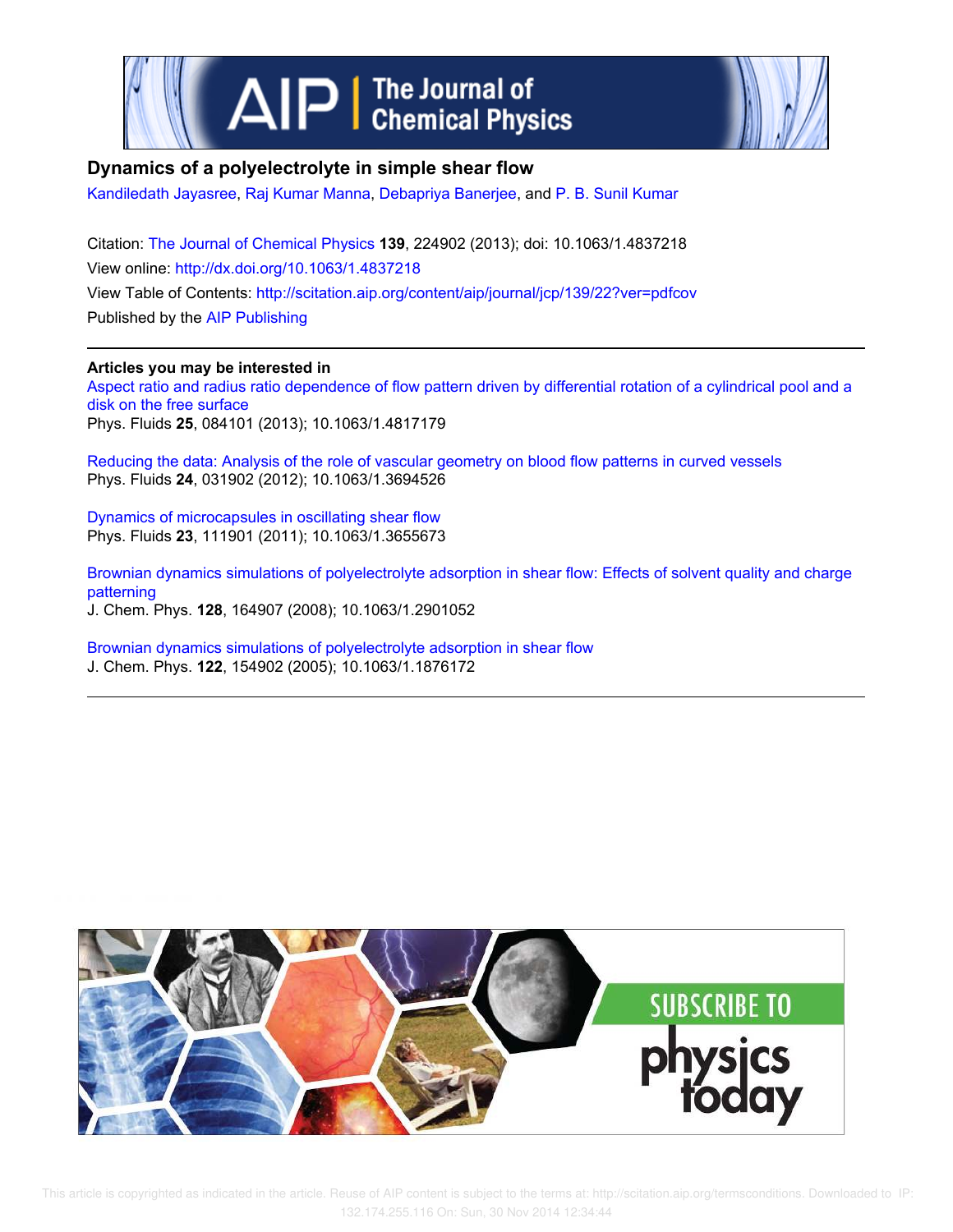

## **Dynamics of a polyelectrolyte in simple shear flow**

Kandiledath Jayasree, Raj Kumar Manna, Debapriya Banerjee, and P. B. Sunil Kumar

Citation: The Journal of Chemical Physics **139**, 224902 (2013); doi: 10.1063/1.4837218 View online: http://dx.doi.org/10.1063/1.4837218 View Table of Contents: http://scitation.aip.org/content/aip/journal/jcp/139/22?ver=pdfcov Published by the AIP Publishing

### **Articles you may be interested in**

Aspect ratio and radius ratio dependence of flow pattern driven by differential rotation of a cylindrical pool and a disk on the free surface Phys. Fluids **25**, 084101 (2013); 10.1063/1.4817179

Reducing the data: Analysis of the role of vascular geometry on blood flow patterns in curved vessels Phys. Fluids **24**, 031902 (2012); 10.1063/1.3694526

Dynamics of microcapsules in oscillating shear flow Phys. Fluids **23**, 111901 (2011); 10.1063/1.3655673

Brownian dynamics simulations of polyelectrolyte adsorption in shear flow: Effects of solvent quality and charge patterning J. Chem. Phys. **128**, 164907 (2008); 10.1063/1.2901052

Brownian dynamics simulations of polyelectrolyte adsorption in shear flow J. Chem. Phys. **122**, 154902 (2005); 10.1063/1.1876172



 This article is copyrighted as indicated in the article. Reuse of AIP content is subject to the terms at: http://scitation.aip.org/termsconditions. Downloaded to IP: 132.174.255.116 On: Sun, 30 Nov 2014 12:34:44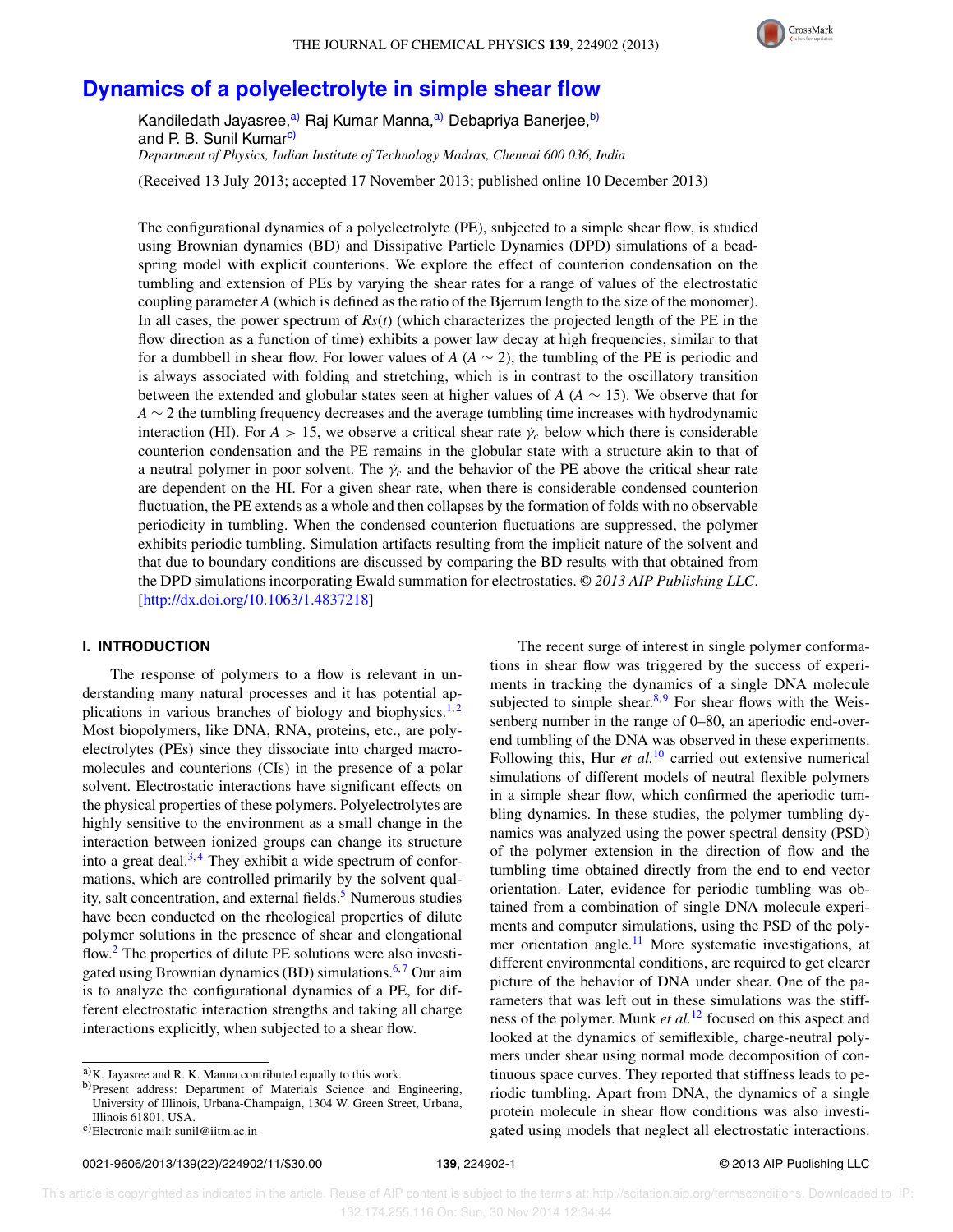

# **Dynamics of a polyelectrolyte in simple shear flow**

Kandiledath Jayasree,<sup>a)</sup> Raj Kumar Manna,<sup>a)</sup> Debapriya Banerjee,<sup>b)</sup> and P. B. Sunil Kumar<sup>c)</sup> *Department of Physics, Indian Institute of Technology Madras, Chennai 600 036, India*

(Received 13 July 2013; accepted 17 November 2013; published online 10 December 2013)

The configurational dynamics of a polyelectrolyte (PE), subjected to a simple shear flow, is studied using Brownian dynamics (BD) and Dissipative Particle Dynamics (DPD) simulations of a beadspring model with explicit counterions. We explore the effect of counterion condensation on the tumbling and extension of PEs by varying the shear rates for a range of values of the electrostatic coupling parameter *A* (which is defined as the ratio of the Bjerrum length to the size of the monomer). In all cases, the power spectrum of *Rs*(*t*) (which characterizes the projected length of the PE in the flow direction as a function of time) exhibits a power law decay at high frequencies, similar to that for a dumbbell in shear flow. For lower values of *A* ( $A \sim 2$ ), the tumbling of the PE is periodic and is always associated with folding and stretching, which is in contrast to the oscillatory transition between the extended and globular states seen at higher values of *A* (*A* ∼ 15). We observe that for *A* ∼ 2 the tumbling frequency decreases and the average tumbling time increases with hydrodynamic interaction (HI). For  $A > 15$ , we observe a critical shear rate  $\dot{\gamma}_c$  below which there is considerable counterion condensation and the PE remains in the globular state with a structure akin to that of a neutral polymer in poor solvent. The  $\dot{\gamma}_c$  and the behavior of the PE above the critical shear rate are dependent on the HI. For a given shear rate, when there is considerable condensed counterion fluctuation, the PE extends as a whole and then collapses by the formation of folds with no observable periodicity in tumbling. When the condensed counterion fluctuations are suppressed, the polymer exhibits periodic tumbling. Simulation artifacts resulting from the implicit nature of the solvent and that due to boundary conditions are discussed by comparing the BD results with that obtained from the DPD simulations incorporating Ewald summation for electrostatics. *© 2013 AIP Publishing LLC*. [http://dx.doi.org/10.1063/1.4837218]

#### **I. INTRODUCTION**

The response of polymers to a flow is relevant in understanding many natural processes and it has potential applications in various branches of biology and biophysics. $1,2$ Most biopolymers, like DNA, RNA, proteins, etc., are polyelectrolytes (PEs) since they dissociate into charged macromolecules and counterions (CIs) in the presence of a polar solvent. Electrostatic interactions have significant effects on the physical properties of these polymers. Polyelectrolytes are highly sensitive to the environment as a small change in the interaction between ionized groups can change its structure into a great deal. $3,4$  They exhibit a wide spectrum of conformations, which are controlled primarily by the solvent quality, salt concentration, and external fields.<sup>5</sup> Numerous studies have been conducted on the rheological properties of dilute polymer solutions in the presence of shear and elongational flow.<sup>2</sup> The properties of dilute PE solutions were also investigated using Brownian dynamics (BD) simulations.<sup>6,7</sup> Our aim is to analyze the configurational dynamics of a PE, for different electrostatic interaction strengths and taking all charge interactions explicitly, when subjected to a shear flow.

The recent surge of interest in single polymer conformations in shear flow was triggered by the success of experiments in tracking the dynamics of a single DNA molecule subjected to simple shear. $8,9$  For shear flows with the Weissenberg number in the range of 0–80, an aperiodic end-overend tumbling of the DNA was observed in these experiments. Following this, Hur *et al.*<sup>10</sup> carried out extensive numerical simulations of different models of neutral flexible polymers in a simple shear flow, which confirmed the aperiodic tumbling dynamics. In these studies, the polymer tumbling dynamics was analyzed using the power spectral density (PSD) of the polymer extension in the direction of flow and the tumbling time obtained directly from the end to end vector orientation. Later, evidence for periodic tumbling was obtained from a combination of single DNA molecule experiments and computer simulations, using the PSD of the polymer orientation angle.<sup>11</sup> More systematic investigations, at different environmental conditions, are required to get clearer picture of the behavior of DNA under shear. One of the parameters that was left out in these simulations was the stiffness of the polymer. Munk *et al.*<sup>12</sup> focused on this aspect and looked at the dynamics of semiflexible, charge-neutral polymers under shear using normal mode decomposition of continuous space curves. They reported that stiffness leads to periodic tumbling. Apart from DNA, the dynamics of a single protein molecule in shear flow conditions was also investigated using models that neglect all electrostatic interactions.

 $a)$ K. Jayasree and R. K. Manna contributed equally to this work.

b)Present address: Department of Materials Science and Engineering, University of Illinois, Urbana-Champaign, 1304 W. Green Street, Urbana, Illinois 61801, USA.

c)Electronic mail: sunil@iitm.ac.in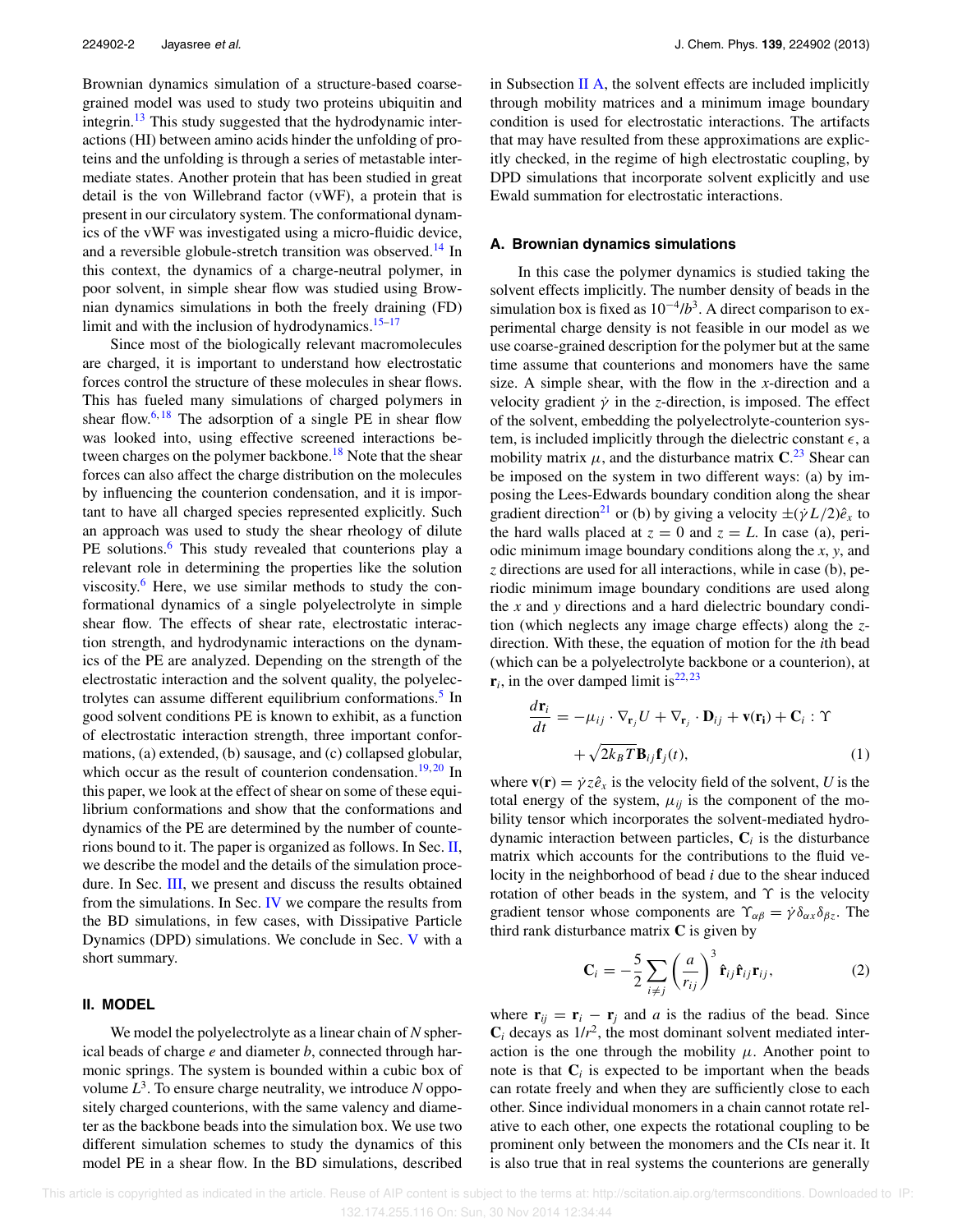Brownian dynamics simulation of a structure-based coarsegrained model was used to study two proteins ubiquitin and integrin.<sup>13</sup> This study suggested that the hydrodynamic interactions (HI) between amino acids hinder the unfolding of proteins and the unfolding is through a series of metastable intermediate states. Another protein that has been studied in great detail is the von Willebrand factor (vWF), a protein that is present in our circulatory system. The conformational dynamics of the vWF was investigated using a micro-fluidic device, and a reversible globule-stretch transition was observed.<sup>14</sup> In this context, the dynamics of a charge-neutral polymer, in poor solvent, in simple shear flow was studied using Brownian dynamics simulations in both the freely draining (FD) limit and with the inclusion of hydrodynamics. $15-17$ 

Since most of the biologically relevant macromolecules are charged, it is important to understand how electrostatic forces control the structure of these molecules in shear flows. This has fueled many simulations of charged polymers in shear flow.<sup>6, 18</sup> The adsorption of a single PE in shear flow was looked into, using effective screened interactions between charges on the polymer backbone.<sup>18</sup> Note that the shear forces can also affect the charge distribution on the molecules by influencing the counterion condensation, and it is important to have all charged species represented explicitly. Such an approach was used to study the shear rheology of dilute PE solutions.<sup>6</sup> This study revealed that counterions play a relevant role in determining the properties like the solution viscosity. $6$  Here, we use similar methods to study the conformational dynamics of a single polyelectrolyte in simple shear flow. The effects of shear rate, electrostatic interaction strength, and hydrodynamic interactions on the dynamics of the PE are analyzed. Depending on the strength of the electrostatic interaction and the solvent quality, the polyelectrolytes can assume different equilibrium conformations.<sup>5</sup> In good solvent conditions PE is known to exhibit, as a function of electrostatic interaction strength, three important conformations, (a) extended, (b) sausage, and (c) collapsed globular, which occur as the result of counterion condensation.<sup>19, 20</sup> In this paper, we look at the effect of shear on some of these equilibrium conformations and show that the conformations and dynamics of the PE are determined by the number of counterions bound to it. The paper is organized as follows. In Sec. II, we describe the model and the details of the simulation procedure. In Sec. III, we present and discuss the results obtained from the simulations. In Sec. IV we compare the results from the BD simulations, in few cases, with Dissipative Particle Dynamics (DPD) simulations. We conclude in Sec. V with a short summary.

#### **II. MODEL**

We model the polyelectrolyte as a linear chain of *N* spherical beads of charge *e* and diameter *b*, connected through harmonic springs. The system is bounded within a cubic box of volume *L* 3 . To ensure charge neutrality, we introduce *N* oppositely charged counterions, with the same valency and diameter as the backbone beads into the simulation box. We use two different simulation schemes to study the dynamics of this model PE in a shear flow. In the BD simulations, described in Subsection  $II$  A, the solvent effects are included implicitly through mobility matrices and a minimum image boundary condition is used for electrostatic interactions. The artifacts that may have resulted from these approximations are explicitly checked, in the regime of high electrostatic coupling, by DPD simulations that incorporate solvent explicitly and use Ewald summation for electrostatic interactions.

#### **A. Brownian dynamics simulations**

In this case the polymer dynamics is studied taking the solvent effects implicitly. The number density of beads in the simulation box is fixed as  $10^{-4}/b^3$ . A direct comparison to experimental charge density is not feasible in our model as we use coarse-grained description for the polymer but at the same time assume that counterions and monomers have the same size. A simple shear, with the flow in the *x*-direction and a velocity gradient  $\dot{\gamma}$  in the *z*-direction, is imposed. The effect of the solvent, embedding the polyelectrolyte-counterion system, is included implicitly through the dielectric constant  $\epsilon$ , a mobility matrix  $\mu$ , and the disturbance matrix  $\mathbb{C}^{23}$  Shear can be imposed on the system in two different ways: (a) by imposing the Lees-Edwards boundary condition along the shear gradient direction<sup>21</sup> or (b) by giving a velocity  $\pm(\gamma L/2)\hat{e}_x$  to the hard walls placed at  $z = 0$  and  $z = L$ . In case (a), periodic minimum image boundary conditions along the *x*, *y*, and *z* directions are used for all interactions, while in case (b), periodic minimum image boundary conditions are used along the *x* and *y* directions and a hard dielectric boundary condition (which neglects any image charge effects) along the *z*direction. With these, the equation of motion for the *i*th bead (which can be a polyelectrolyte backbone or a counterion), at  $\mathbf{r}_i$ , in the over damped limit is<sup>22, 23</sup>

$$
\frac{d\mathbf{r}_i}{dt} = -\mu_{ij} \cdot \nabla_{\mathbf{r}_j} U + \nabla_{\mathbf{r}_j} \cdot \mathbf{D}_{ij} + \mathbf{v}(\mathbf{r_i}) + \mathbf{C}_i : \Upsilon + \sqrt{2k_B T} \mathbf{B}_{ij} \mathbf{f}_j(t),
$$
(1)

where  $\mathbf{v}(\mathbf{r}) = \dot{\gamma} z \hat{e}_x$  is the velocity field of the solvent, *U* is the total energy of the system,  $\mu_{ij}$  is the component of the mobility tensor which incorporates the solvent-mediated hydrodynamic interaction between particles, **C***<sup>i</sup>* is the disturbance matrix which accounts for the contributions to the fluid velocity in the neighborhood of bead *i* due to the shear induced rotation of other beads in the system, and  $\Upsilon$  is the velocity gradient tensor whose components are  $\Upsilon_{\alpha\beta} = \dot{\gamma} \delta_{\alpha x} \delta_{\beta z}$ . The third rank disturbance matrix **C** is given by

$$
\mathbf{C}_{i} = -\frac{5}{2} \sum_{i \neq j} \left( \frac{a}{r_{ij}} \right)^{3} \hat{\mathbf{r}}_{ij} \hat{\mathbf{r}}_{ij} \mathbf{r}_{ij},
$$
 (2)

where  $\mathbf{r}_{ij} = \mathbf{r}_i - \mathbf{r}_j$  and *a* is the radius of the bead. Since  $C_i$  decays as  $1/r^2$ , the most dominant solvent mediated interaction is the one through the mobility  $\mu$ . Another point to note is that  $C_i$  is expected to be important when the beads can rotate freely and when they are sufficiently close to each other. Since individual monomers in a chain cannot rotate relative to each other, one expects the rotational coupling to be prominent only between the monomers and the CIs near it. It is also true that in real systems the counterions are generally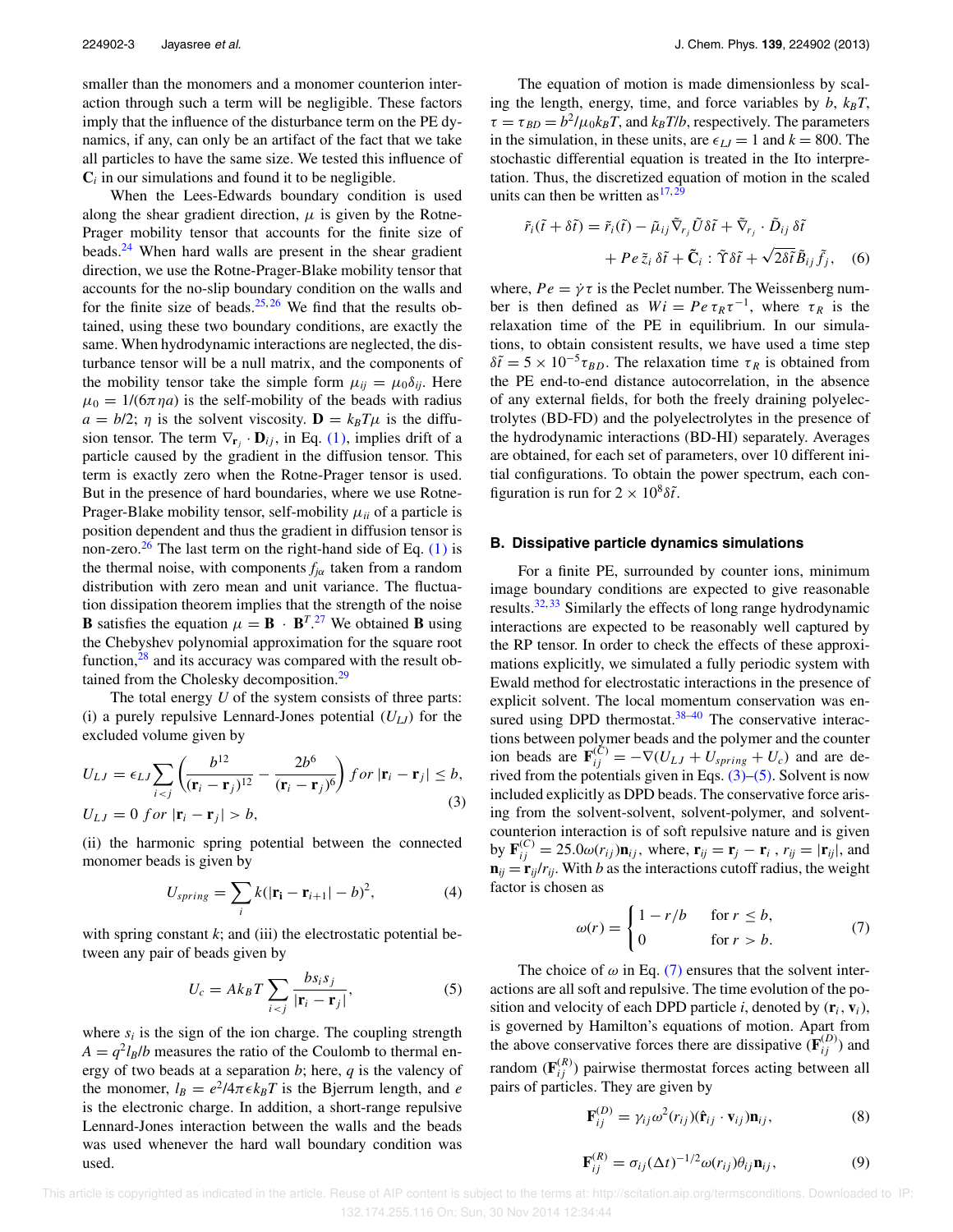smaller than the monomers and a monomer counterion interaction through such a term will be negligible. These factors imply that the influence of the disturbance term on the PE dynamics, if any, can only be an artifact of the fact that we take all particles to have the same size. We tested this influence of  $C_i$  in our simulations and found it to be negligible.

When the Lees-Edwards boundary condition is used along the shear gradient direction,  $\mu$  is given by the Rotne-Prager mobility tensor that accounts for the finite size of beads.<sup>24</sup> When hard walls are present in the shear gradient direction, we use the Rotne-Prager-Blake mobility tensor that accounts for the no-slip boundary condition on the walls and for the finite size of beads.<sup>25, 26</sup> We find that the results obtained, using these two boundary conditions, are exactly the same. When hydrodynamic interactions are neglected, the disturbance tensor will be a null matrix, and the components of the mobility tensor take the simple form  $\mu_{ij} = \mu_0 \delta_{ij}$ . Here  $\mu_0 = 1/(6\pi \eta a)$  is the self-mobility of the beads with radius  $a = b/2$ ;  $\eta$  is the solvent viscosity.  $\mathbf{D} = k_B T \mu$  is the diffusion tensor. The term  $\nabla_{\mathbf{r}_j} \cdot \mathbf{D}_{ij}$ , in Eq. (1), implies drift of a particle caused by the gradient in the diffusion tensor. This term is exactly zero when the Rotne-Prager tensor is used. But in the presence of hard boundaries, where we use Rotne-Prager-Blake mobility tensor, self-mobility  $\mu_{ii}$  of a particle is position dependent and thus the gradient in diffusion tensor is non-zero.<sup>26</sup> The last term on the right-hand side of Eq.  $(1)$  is the thermal noise, with components  $f_{j\alpha}$  taken from a random distribution with zero mean and unit variance. The fluctuation dissipation theorem implies that the strength of the noise **B** satisfies the equation  $\mu = \mathbf{B} \cdot \mathbf{B}^T$ .<sup>27</sup> We obtained **B** using the Chebyshev polynomial approximation for the square root function, $28$  and its accuracy was compared with the result obtained from the Cholesky decomposition.<sup>29</sup>

The total energy *U* of the system consists of three parts: (i) a purely repulsive Lennard-Jones potential  $(U_L)$  for the excluded volume given by

$$
U_{LJ} = \epsilon_{LJ} \sum_{i < j} \left( \frac{b^{12}}{(\mathbf{r}_i - \mathbf{r}_j)^{12}} - \frac{2b^6}{(\mathbf{r}_i - \mathbf{r}_j)^6} \right) \text{ for } |\mathbf{r}_i - \mathbf{r}_j| \le b,
$$
\n
$$
U_{LJ} = 0 \text{ for } |\mathbf{r}_i - \mathbf{r}_j| > b,
$$
\n
$$
(3)
$$

(ii) the harmonic spring potential between the connected monomer beads is given by

$$
U_{spring} = \sum_{i} k(|\mathbf{r_i} - \mathbf{r}_{i+1}| - b)^2,
$$
 (4)

with spring constant  $k$ ; and (iii) the electrostatic potential between any pair of beads given by

$$
U_c = Ak_B T \sum_{i < j} \frac{bs_i s_j}{|\mathbf{r}_i - \mathbf{r}_j|},\tag{5}
$$

where  $s_i$  is the sign of the ion charge. The coupling strength  $A = q^2 l_B/b$  measures the ratio of the Coulomb to thermal energy of two beads at a separation *b*; here, *q* is the valency of the monomer,  $l_B = e^2/4\pi \epsilon k_B T$  is the Bjerrum length, and *e* is the electronic charge. In addition, a short-range repulsive Lennard-Jones interaction between the walls and the beads was used whenever the hard wall boundary condition was used.

The equation of motion is made dimensionless by scaling the length, energy, time, and force variables by  $b, k_B T$ ,  $\tau = \tau_{BD} = b^2/\mu_0 k_B T$ , and  $k_B T/b$ , respectively. The parameters in the simulation, in these units, are  $\epsilon_{LL} = 1$  and  $k = 800$ . The stochastic differential equation is treated in the Ito interpretation. Thus, the discretized equation of motion in the scaled units can then be written as  $17,29$ 

$$
\tilde{r}_i(\tilde{t} + \delta \tilde{t}) = \tilde{r}_i(\tilde{t}) - \tilde{\mu}_{ij} \tilde{\nabla}_{r_j} \tilde{U} \delta \tilde{t} + \tilde{\nabla}_{r_j} \cdot \tilde{D}_{ij} \delta \tilde{t} \n+ P e \tilde{z}_i \delta \tilde{t} + \tilde{\mathbf{C}}_i : \tilde{\Upsilon} \delta \tilde{t} + \sqrt{2 \delta \tilde{t}} \tilde{B}_{ij} \tilde{f}_j, \quad (6)
$$

where,  $Pe = \dot{\gamma} \tau$  is the Peclet number. The Weissenberg number is then defined as  $Wi = Pe \tau_R \tau^{-1}$ , where  $\tau_R$  is the relaxation time of the PE in equilibrium. In our simulations, to obtain consistent results, we have used a time step  $\delta \tilde{t} = 5 \times 10^{-5} \tau_{BD}$ . The relaxation time  $\tau_R$  is obtained from the PE end-to-end distance autocorrelation, in the absence of any external fields, for both the freely draining polyelectrolytes (BD-FD) and the polyelectrolytes in the presence of the hydrodynamic interactions (BD-HI) separately. Averages are obtained, for each set of parameters, over 10 different initial configurations. To obtain the power spectrum, each configuration is run for  $2 \times 10^8 \delta \tilde{t}$ .

#### **B. Dissipative particle dynamics simulations**

For a finite PE, surrounded by counter ions, minimum image boundary conditions are expected to give reasonable results.<sup>32, 33</sup> Similarly the effects of long range hydrodynamic interactions are expected to be reasonably well captured by the RP tensor. In order to check the effects of these approximations explicitly, we simulated a fully periodic system with Ewald method for electrostatic interactions in the presence of explicit solvent. The local momentum conservation was ensured using DPD thermostat. $38-40$  The conservative interactions between polymer beads and the polymer and the counter ion beads are  $\mathbf{F}_{ij}^{(C)} = -\nabla(U_{LJ} + U_{spring} + U_c)$  and are derived from the potentials given in Eqs.  $(3)$ – $(5)$ . Solvent is now included explicitly as DPD beads. The conservative force arising from the solvent-solvent, solvent-polymer, and solventcounterion interaction is of soft repulsive nature and is given by  $\mathbf{F}_{ij}^{(C)} = 25.0\omega(r_{ij})\mathbf{n}_{ij}$ , where,  $\mathbf{r}_{ij} = \mathbf{r}_j - \mathbf{r}_i$ ,  $r_{ij} = |\mathbf{r}_{ij}|$ , and  $\mathbf{n}_{ii} = \mathbf{r}_{ii}/r_{ii}$ . With *b* as the interactions cutoff radius, the weight factor is chosen as

$$
\omega(r) = \begin{cases} 1 - r/b & \text{for } r \le b, \\ 0 & \text{for } r > b. \end{cases}
$$
 (7)

The choice of  $\omega$  in Eq. (7) ensures that the solvent interactions are all soft and repulsive. The time evolution of the position and velocity of each DPD particle *i*, denoted by  $(\mathbf{r}_i, \mathbf{v}_i)$ , is governed by Hamilton's equations of motion. Apart from the above conservative forces there are dissipative  $(\mathbf{F}_{ij}^{(D)})$  and random  $(\mathbf{F}_{ij}^{(R)})$  pairwise thermostat forces acting between all pairs of particles. They are given by

$$
\mathbf{F}_{ij}^{(D)} = \gamma_{ij} \omega^2 (r_{ij}) (\hat{\mathbf{r}}_{ij} \cdot \mathbf{v}_{ij}) \mathbf{n}_{ij},
$$
(8)

$$
\mathbf{F}_{ij}^{(R)} = \sigma_{ij} (\Delta t)^{-1/2} \omega(r_{ij}) \theta_{ij} \mathbf{n}_{ij},
$$
\n(9)

This article is copyrighted as indicated in the article. Reuse of AIP content is subject to the terms at: http://scitation.aip.org/termsconditions. Downloaded to IP: 132.174.255.116 On: Sun, 30 Nov 2014 12:34:44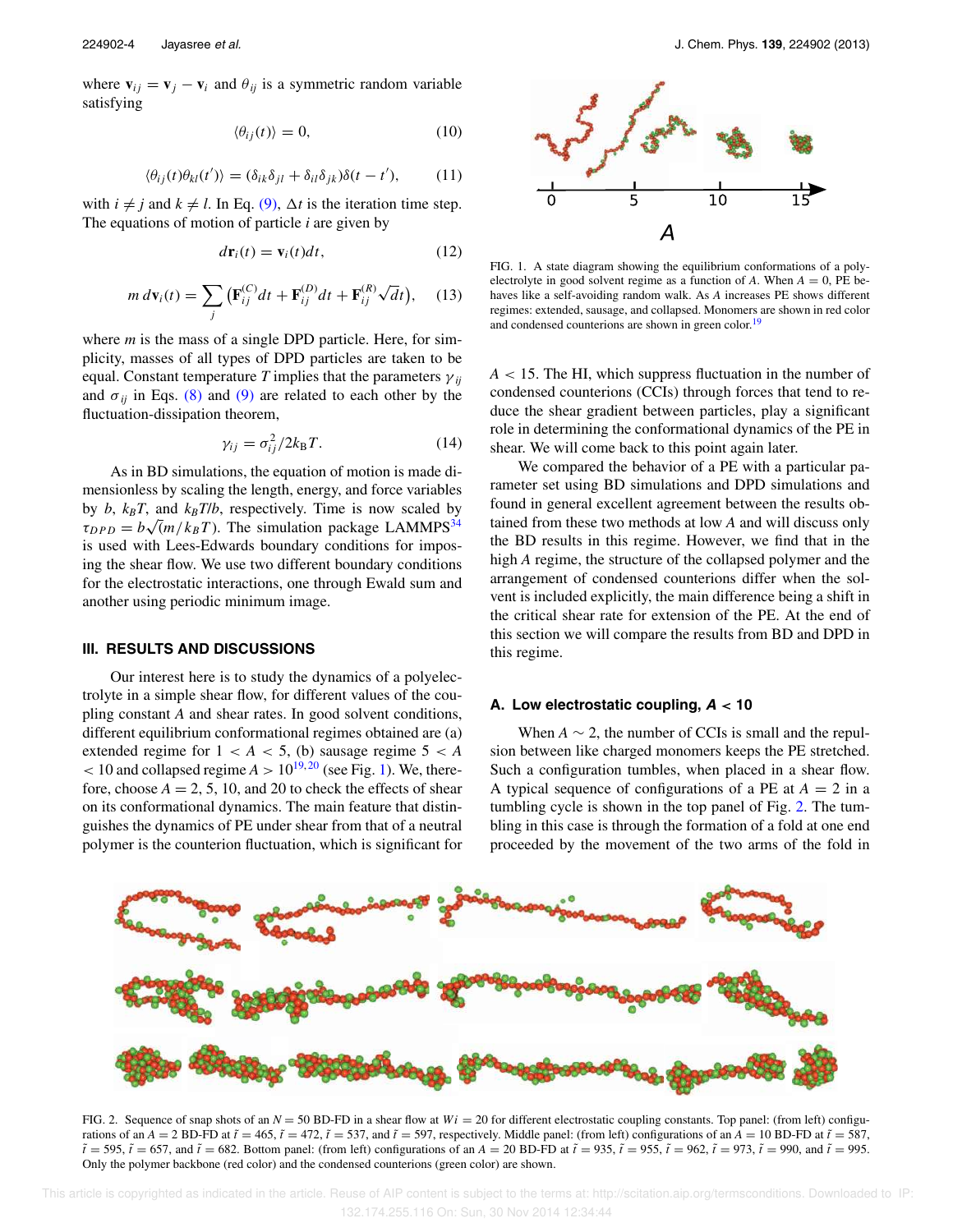where  $\mathbf{v}_{ij} = \mathbf{v}_j - \mathbf{v}_i$  and  $\theta_{ij}$  is a symmetric random variable satisfying

$$
\langle \theta_{ij}(t) \rangle = 0, \tag{10}
$$

$$
\langle \theta_{ij}(t)\theta_{kl}(t')\rangle = (\delta_{ik}\delta_{jl} + \delta_{il}\delta_{jk})\delta(t - t'), \qquad (11)
$$

with  $i \neq j$  and  $k \neq l$ . In Eq. (9),  $\Delta t$  is the iteration time step. The equations of motion of particle *i* are given by

$$
d\mathbf{r}_i(t) = \mathbf{v}_i(t)dt,\tag{12}
$$

$$
m d\mathbf{v}_i(t) = \sum_j (\mathbf{F}_{ij}^{(C)} dt + \mathbf{F}_{ij}^{(D)} dt + \mathbf{F}_{ij}^{(R)} \sqrt{d}t), \quad (13)
$$

where *m* is the mass of a single DPD particle. Here, for simplicity, masses of all types of DPD particles are taken to be equal. Constant temperature *T* implies that the parameters  $\gamma_{ii}$ and  $\sigma_{ij}$  in Eqs. (8) and (9) are related to each other by the fluctuation-dissipation theorem,

$$
\gamma_{ij} = \sigma_{ij}^2 / 2k_\text{B}T. \tag{14}
$$

As in BD simulations, the equation of motion is made dimensionless by scaling the length, energy, and force variables by  $b$ ,  $k_B T$ , and  $k_B T/b$ , respectively. Time is now scaled by  $\tau_{DPD} = b\sqrt{(m/k_B T)}$ . The simulation package LAMMPS<sup>34</sup> is used with Lees-Edwards boundary conditions for imposing the shear flow. We use two different boundary conditions for the electrostatic interactions, one through Ewald sum and another using periodic minimum image.

#### **III. RESULTS AND DISCUSSIONS**

Our interest here is to study the dynamics of a polyelectrolyte in a simple shear flow, for different values of the coupling constant *A* and shear rates. In good solvent conditions, different equilibrium conformational regimes obtained are (a) extended regime for  $1 < A < 5$ , (b) sausage regime  $5 < A$  $< 10$  and collapsed regime  $A > 10^{19,20}$  (see Fig. 1). We, therefore, choose  $A = 2, 5, 10,$  and 20 to check the effects of shear on its conformational dynamics. The main feature that distinguishes the dynamics of PE under shear from that of a neutral polymer is the counterion fluctuation, which is significant for



FIG. 1. A state diagram showing the equilibrium conformations of a polyelectrolyte in good solvent regime as a function of *A*. When  $A = 0$ , PE behaves like a self-avoiding random walk. As *A* increases PE shows different regimes: extended, sausage, and collapsed. Monomers are shown in red color and condensed counterions are shown in green color.<sup>19</sup>

*A* < 15. The HI, which suppress fluctuation in the number of condensed counterions (CCIs) through forces that tend to reduce the shear gradient between particles, play a significant role in determining the conformational dynamics of the PE in shear. We will come back to this point again later.

We compared the behavior of a PE with a particular parameter set using BD simulations and DPD simulations and found in general excellent agreement between the results obtained from these two methods at low *A* and will discuss only the BD results in this regime. However, we find that in the high *A* regime, the structure of the collapsed polymer and the arrangement of condensed counterions differ when the solvent is included explicitly, the main difference being a shift in the critical shear rate for extension of the PE. At the end of this section we will compare the results from BD and DPD in this regime.

#### **A. Low electrostatic coupling, <sup>A</sup>** < **10**

When  $A \sim 2$ , the number of CCIs is small and the repulsion between like charged monomers keeps the PE stretched. Such a configuration tumbles, when placed in a shear flow. A typical sequence of configurations of a PE at  $A = 2$  in a tumbling cycle is shown in the top panel of Fig. 2. The tumbling in this case is through the formation of a fold at one end proceeded by the movement of the two arms of the fold in



FIG. 2. Sequence of snap shots of an  $N = 50$  BD-FD in a shear flow at  $Wi = 20$  for different electrostatic coupling constants. Top panel: (from left) configurations of an  $A = 2$  BD-FD at  $\tilde{t} = 465$ ,  $\tilde{t} = 472$ ,  $\tilde{t} = 537$ , and  $\tilde{t} = 597$ , respectively. Middle panel: (from left) configurations of an  $A = 10$  BD-FD at  $\tilde{t} = 587$ ,  $\tilde{t} = 595$ ,  $\tilde{t} = 657$ , and  $\tilde{t} = 682$ . Bottom panel: (from left) configurations of an  $A = 20$  BD-FD at  $\tilde{t} = 935$ ,  $\tilde{t} = 955$ ,  $\tilde{t} = 962$ ,  $\tilde{t} = 973$ ,  $\tilde{t} = 990$ , and  $\tilde{t} = 995$ . Only the polymer backbone (red color) and the condensed counterions (green color) are shown.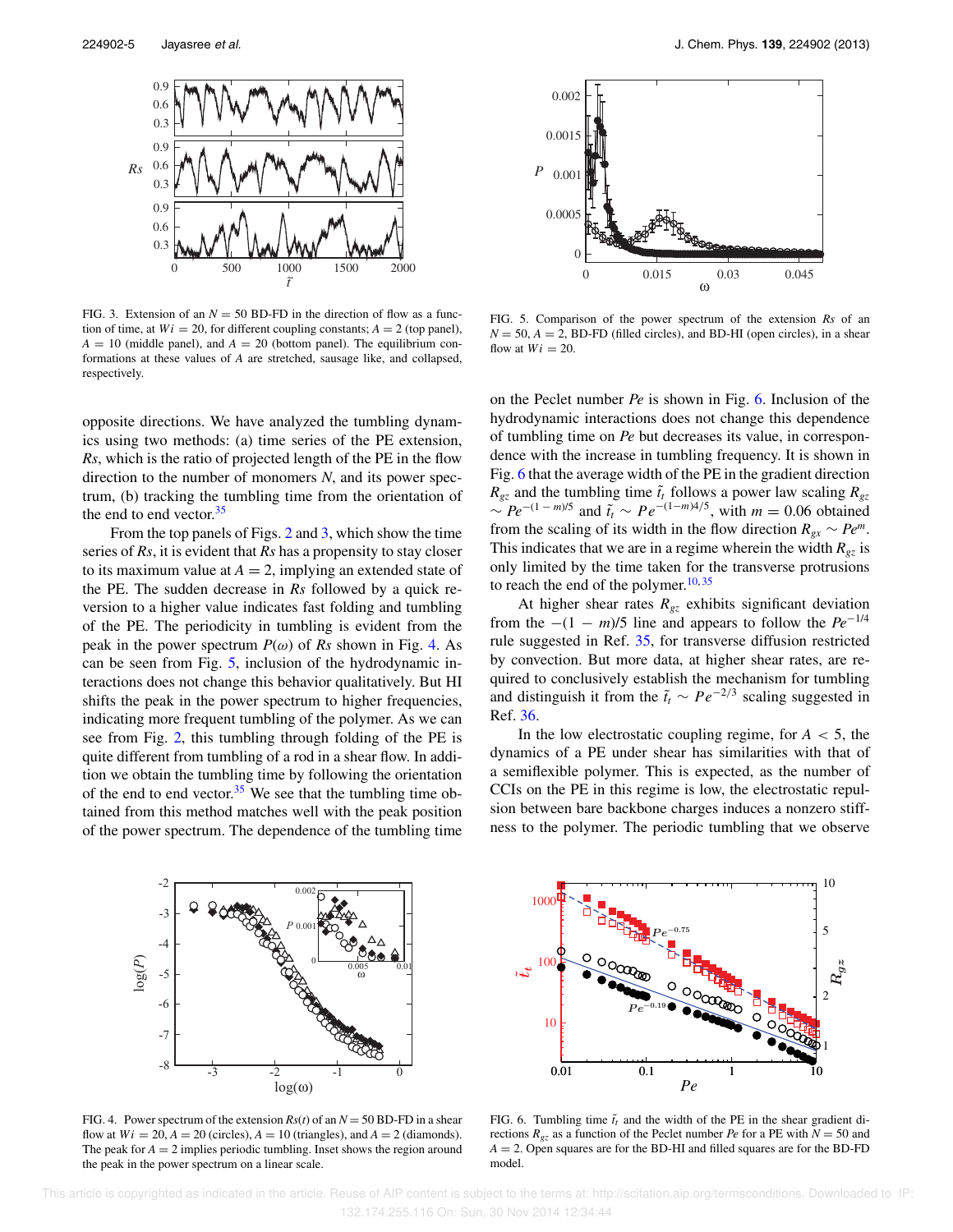

FIG. 3. Extension of an  $N = 50$  BD-FD in the direction of flow as a function of time, at  $Wi = 20$ , for different coupling constants;  $A = 2$  (top panel),  $A = 10$  (middle panel), and  $A = 20$  (bottom panel). The equilibrium conformations at these values of *A* are stretched, sausage like, and collapsed, respectively.

opposite directions. We have analyzed the tumbling dynamics using two methods: (a) time series of the PE extension, *Rs*, which is the ratio of projected length of the PE in the flow direction to the number of monomers *N*, and its power spectrum, (b) tracking the tumbling time from the orientation of the end to end vector. $35$ 

From the top panels of Figs. 2 and 3, which show the time series of *Rs*, it is evident that *Rs* has a propensity to stay closer to its maximum value at  $A = 2$ , implying an extended state of the PE. The sudden decrease in *Rs* followed by a quick reversion to a higher value indicates fast folding and tumbling of the PE. The periodicity in tumbling is evident from the peak in the power spectrum  $P(\omega)$  of *Rs* shown in Fig. 4. As can be seen from Fig. 5, inclusion of the hydrodynamic interactions does not change this behavior qualitatively. But HI shifts the peak in the power spectrum to higher frequencies, indicating more frequent tumbling of the polymer. As we can see from Fig. 2, this tumbling through folding of the PE is quite different from tumbling of a rod in a shear flow. In addition we obtain the tumbling time by following the orientation of the end to end vector.<sup>35</sup> We see that the tumbling time obtained from this method matches well with the peak position of the power spectrum. The dependence of the tumbling time



FIG. 5. Comparison of the power spectrum of the extension *Rs* of an  $N = 50$ ,  $A = 2$ , BD-FD (filled circles), and BD-HI (open circles), in a shear flow at  $Wi = 20$ .

on the Peclet number *Pe* is shown in Fig. 6. Inclusion of the hydrodynamic interactions does not change this dependence of tumbling time on *Pe* but decreases its value, in correspondence with the increase in tumbling frequency. It is shown in Fig. 6 that the average width of the PE in the gradient direction  $R_{gz}$  and the tumbling time  $\tilde{t}_t$  follows a power law scaling  $R_{gz}$  $\sim Pe^{-(1-m)/5}$  and  $\tilde{t}_t \sim Pe^{-(1-m)/5}$ , with  $m = 0.06$  obtained from the scaling of its width in the flow direction  $R_{gx} \sim Pe^m$ . This indicates that we are in a regime wherein the width  $R_{gz}$  is only limited by the time taken for the transverse protrusions to reach the end of the polymer. $10,35$ 

At higher shear rates  $R_{gz}$  exhibits significant deviation from the  $-(1 - m)/5$  line and appears to follow the  $Pe^{-1/4}$ rule suggested in Ref. 35, for transverse diffusion restricted by convection. But more data, at higher shear rates, are required to conclusively establish the mechanism for tumbling and distinguish it from the  $\tilde{t}_t \sim Pe^{-2/3}$  scaling suggested in Ref. 36.

In the low electrostatic coupling regime, for  $A < 5$ , the dynamics of a PE under shear has similarities with that of a semiflexible polymer. This is expected, as the number of CCIs on the PE in this regime is low, the electrostatic repulsion between bare backbone charges induces a nonzero stiffness to the polymer. The periodic tumbling that we observe



FIG. 4. Power spectrum of the extension  $Rs(t)$  of an  $N = 50$  BD-FD in a shear flow at  $Wi = 20$ ,  $A = 20$  (circles),  $A = 10$  (triangles), and  $A = 2$  (diamonds). The peak for  $A = 2$  implies periodic tumbling. Inset shows the region around the peak in the power spectrum on a linear scale.



FIG. 6. Tumbling time  $\tilde{t}_t$  and the width of the PE in the shear gradient directions  $R_{g\bar{g}}$  as a function of the Peclet number *Pe* for a PE with  $N = 50$  and  $A = 2$ . Open squares are for the BD-HI and filled squares are for the BD-FD model.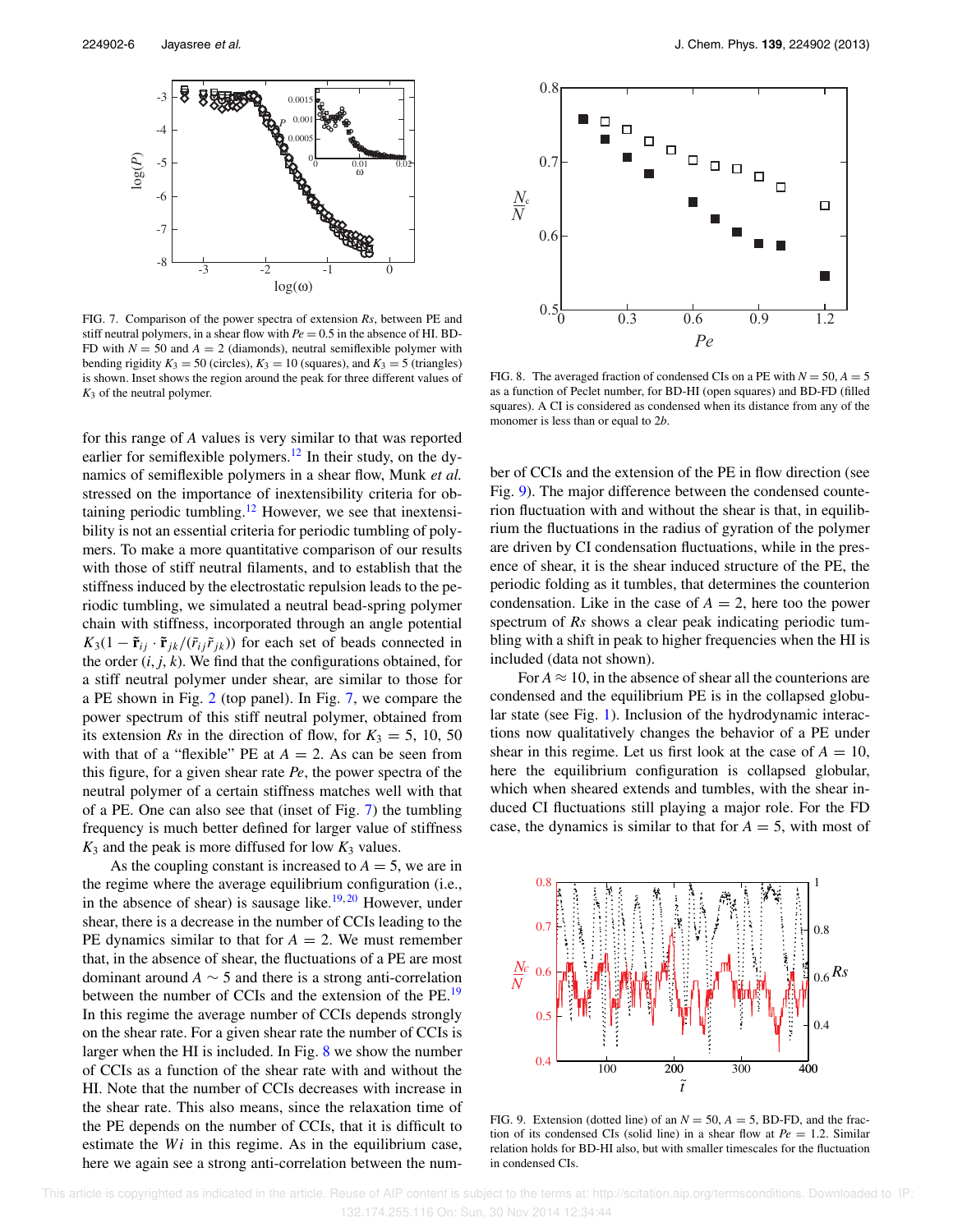

FIG. 7. Comparison of the power spectra of extension *Rs*, between PE and stiff neutral polymers, in a shear flow with  $Pe = 0.5$  in the absence of HI. BD-FD with  $N = 50$  and  $A = 2$  (diamonds), neutral semiflexible polymer with bending rigidity  $K_3 = 50$  (circles),  $K_3 = 10$  (squares), and  $K_3 = 5$  (triangles) is shown. Inset shows the region around the peak for three different values of *K*<sup>3</sup> of the neutral polymer.

for this range of *A* values is very similar to that was reported earlier for semiflexible polymers.<sup>12</sup> In their study, on the dynamics of semiflexible polymers in a shear flow, Munk *et al.* stressed on the importance of inextensibility criteria for obtaining periodic tumbling.<sup>12</sup> However, we see that inextensibility is not an essential criteria for periodic tumbling of polymers. To make a more quantitative comparison of our results with those of stiff neutral filaments, and to establish that the stiffness induced by the electrostatic repulsion leads to the periodic tumbling, we simulated a neutral bead-spring polymer chain with stiffness, incorporated through an angle potential  $K_3(1 - \tilde{\mathbf{r}}_{ii} \cdot \tilde{\mathbf{r}}_{ik}/(\tilde{r}_{ii} \tilde{r}_{ik}))$  for each set of beads connected in the order  $(i, j, k)$ . We find that the configurations obtained, for a stiff neutral polymer under shear, are similar to those for a PE shown in Fig. 2 (top panel). In Fig. 7, we compare the power spectrum of this stiff neutral polymer, obtained from its extension *Rs* in the direction of flow, for  $K_3 = 5$ , 10, 50 with that of a "flexible" PE at  $A = 2$ . As can be seen from this figure, for a given shear rate *Pe*, the power spectra of the neutral polymer of a certain stiffness matches well with that of a PE. One can also see that (inset of Fig. 7) the tumbling frequency is much better defined for larger value of stiffness  $K_3$  and the peak is more diffused for low  $K_3$  values.

As the coupling constant is increased to  $A = 5$ , we are in the regime where the average equilibrium configuration (i.e., in the absence of shear) is sausage like.<sup>19,20</sup> However, under shear, there is a decrease in the number of CCIs leading to the PE dynamics similar to that for  $A = 2$ . We must remember that, in the absence of shear, the fluctuations of a PE are most dominant around  $A \sim 5$  and there is a strong anti-correlation between the number of CCIs and the extension of the PE.<sup>19</sup> In this regime the average number of CCIs depends strongly on the shear rate. For a given shear rate the number of CCIs is larger when the HI is included. In Fig. 8 we show the number of CCIs as a function of the shear rate with and without the HI. Note that the number of CCIs decreases with increase in the shear rate. This also means, since the relaxation time of the PE depends on the number of CCIs, that it is difficult to estimate the  $Wi$  in this regime. As in the equilibrium case, here we again see a strong anti-correlation between the num-



FIG. 8. The averaged fraction of condensed CIs on a PE with  $N = 50$ ,  $A = 5$ as a function of Peclet number, for BD-HI (open squares) and BD-FD (filled squares). A CI is considered as condensed when its distance from any of the monomer is less than or equal to 2*b*.

ber of CCIs and the extension of the PE in flow direction (see Fig. 9). The major difference between the condensed counterion fluctuation with and without the shear is that, in equilibrium the fluctuations in the radius of gyration of the polymer are driven by CI condensation fluctuations, while in the presence of shear, it is the shear induced structure of the PE, the periodic folding as it tumbles, that determines the counterion condensation. Like in the case of  $A = 2$ , here too the power spectrum of *Rs* shows a clear peak indicating periodic tumbling with a shift in peak to higher frequencies when the HI is included (data not shown).

For  $A \approx 10$ , in the absence of shear all the counterions are condensed and the equilibrium PE is in the collapsed globular state (see Fig. 1). Inclusion of the hydrodynamic interactions now qualitatively changes the behavior of a PE under shear in this regime. Let us first look at the case of  $A = 10$ , here the equilibrium configuration is collapsed globular, which when sheared extends and tumbles, with the shear induced CI fluctuations still playing a major role. For the FD case, the dynamics is similar to that for  $A = 5$ , with most of



FIG. 9. Extension (dotted line) of an  $N = 50$ ,  $A = 5$ , BD-FD, and the fraction of its condensed CIs (solid line) in a shear flow at  $Pe = 1.2$ . Similar relation holds for BD-HI also, but with smaller timescales for the fluctuation in condensed CIs.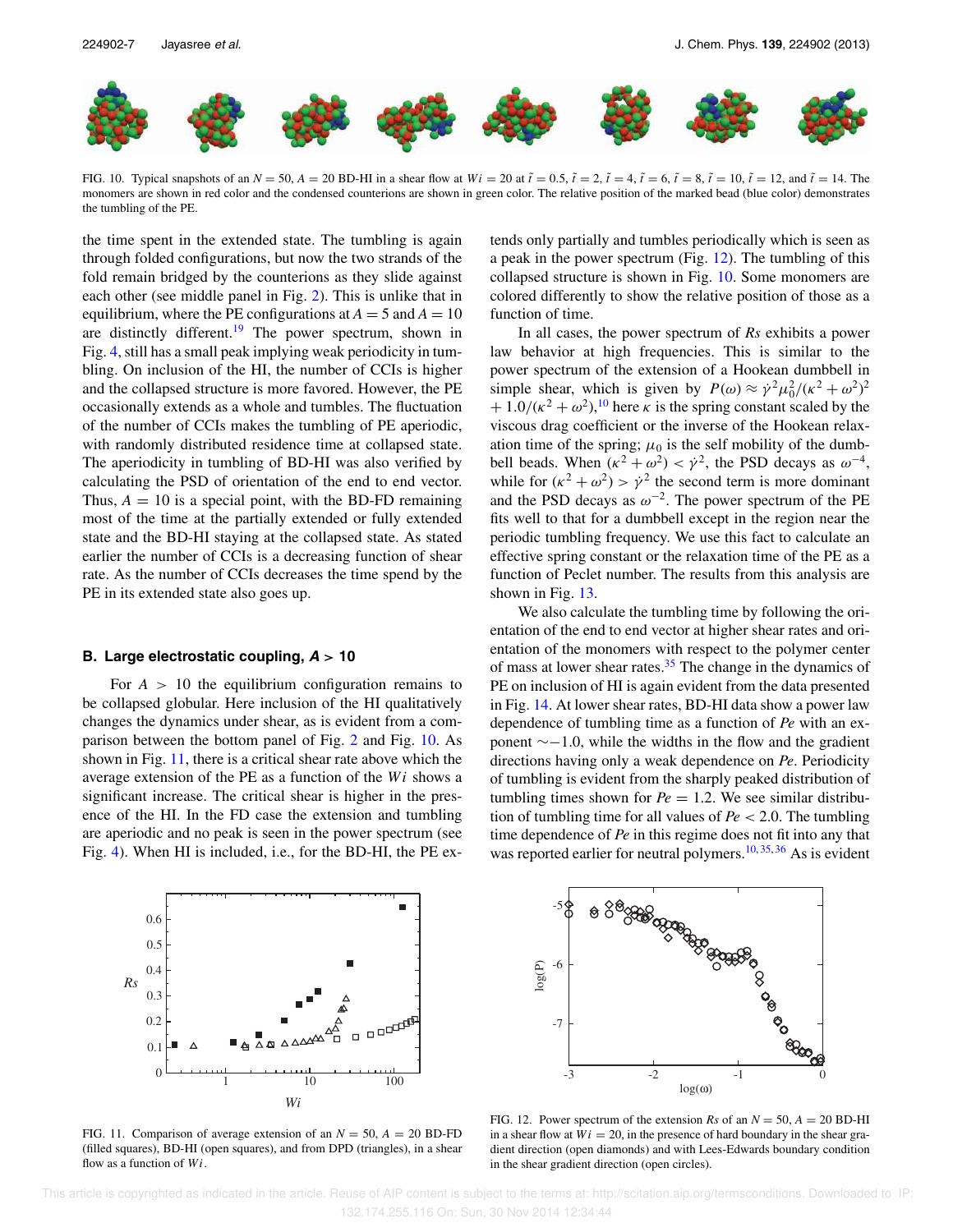

FIG. 10. Typical snapshots of an  $N = 50$ ,  $A = 20$  BD-HI in a shear flow at  $Wi = 20$  at  $\tilde{t} = 0.5$ ,  $\tilde{t} = 0.5$ ,  $\tilde{t} = 4$ ,  $\tilde{t} = 6$ ,  $\tilde{t} = 8$ ,  $\tilde{t} = 10$ ,  $\tilde{t} = 12$ , and  $\tilde{t} = 14$ . The monomers are shown in red color and the condensed counterions are shown in green color. The relative position of the marked bead (blue color) demonstrates the tumbling of the PE.

the time spent in the extended state. The tumbling is again through folded configurations, but now the two strands of the fold remain bridged by the counterions as they slide against each other (see middle panel in Fig. 2). This is unlike that in equilibrium, where the PE configurations at  $A = 5$  and  $A = 10$ are distinctly different.<sup>19</sup> The power spectrum, shown in Fig. 4, still has a small peak implying weak periodicity in tumbling. On inclusion of the HI, the number of CCIs is higher and the collapsed structure is more favored. However, the PE occasionally extends as a whole and tumbles. The fluctuation of the number of CCIs makes the tumbling of PE aperiodic, with randomly distributed residence time at collapsed state. The aperiodicity in tumbling of BD-HI was also verified by calculating the PSD of orientation of the end to end vector. Thus,  $A = 10$  is a special point, with the BD-FD remaining most of the time at the partially extended or fully extended state and the BD-HI staying at the collapsed state. As stated earlier the number of CCIs is a decreasing function of shear rate. As the number of CCIs decreases the time spend by the PE in its extended state also goes up.

#### **B. Large electrostatic coupling, <sup>A</sup>** > **10**

For  $A > 10$  the equilibrium configuration remains to be collapsed globular. Here inclusion of the HI qualitatively changes the dynamics under shear, as is evident from a comparison between the bottom panel of Fig. 2 and Fig. 10. As shown in Fig. 11, there is a critical shear rate above which the average extension of the PE as a function of the  $Wi$  shows a significant increase. The critical shear is higher in the presence of the HI. In the FD case the extension and tumbling are aperiodic and no peak is seen in the power spectrum (see Fig. 4). When HI is included, i.e., for the BD-HI, the PE extends only partially and tumbles periodically which is seen as a peak in the power spectrum (Fig. 12). The tumbling of this collapsed structure is shown in Fig. 10. Some monomers are colored differently to show the relative position of those as a function of time.

In all cases, the power spectrum of *Rs* exhibits a power law behavior at high frequencies. This is similar to the power spectrum of the extension of a Hookean dumbbell in simple shear, which is given by  $P(\omega) \approx \gamma^2 \mu_0^2/(\kappa^2 + \omega^2)^2$  $+ 1.0/(\kappa^2 + \omega^2)$ , <sup>10</sup> here  $\kappa$  is the spring constant scaled by the viscous drag coefficient or the inverse of the Hookean relaxation time of the spring;  $\mu_0$  is the self mobility of the dumbbell beads. When  $(\kappa^2 + \omega^2) < \gamma^2$ , the PSD decays as  $\omega^{-4}$ , while for  $(k^2 + \omega^2) > \gamma^2$  the second term is more dominant and the PSD decays as  $\omega^{-2}$ . The power spectrum of the PE fits well to that for a dumbbell except in the region near the periodic tumbling frequency. We use this fact to calculate an effective spring constant or the relaxation time of the PE as a function of Peclet number. The results from this analysis are shown in Fig. 13.

We also calculate the tumbling time by following the orientation of the end to end vector at higher shear rates and orientation of the monomers with respect to the polymer center of mass at lower shear rates.<sup>35</sup> The change in the dynamics of PE on inclusion of HI is again evident from the data presented in Fig. 14. At lower shear rates, BD-HI data show a power law dependence of tumbling time as a function of *Pe* with an exponent  $\sim$ −1.0, while the widths in the flow and the gradient directions having only a weak dependence on *Pe*. Periodicity of tumbling is evident from the sharply peaked distribution of tumbling times shown for  $Pe = 1.2$ . We see similar distribution of tumbling time for all values of *Pe* < 2.0. The tumbling time dependence of *Pe* in this regime does not fit into any that was reported earlier for neutral polymers.<sup>10, 35, 36</sup> As is evident



FIG. 11. Comparison of average extension of an  $N = 50$ ,  $A = 20$  BD-FD (filled squares), BD-HI (open squares), and from DPD (triangles), in a shear flow as a function of  $Wi$ .



FIG. 12. Power spectrum of the extension  $Rs$  of an  $N = 50$ ,  $A = 20$  BD-HI in a shear flow at  $Wi = 20$ , in the presence of hard boundary in the shear gradient direction (open diamonds) and with Lees-Edwards boundary condition in the shear gradient direction (open circles).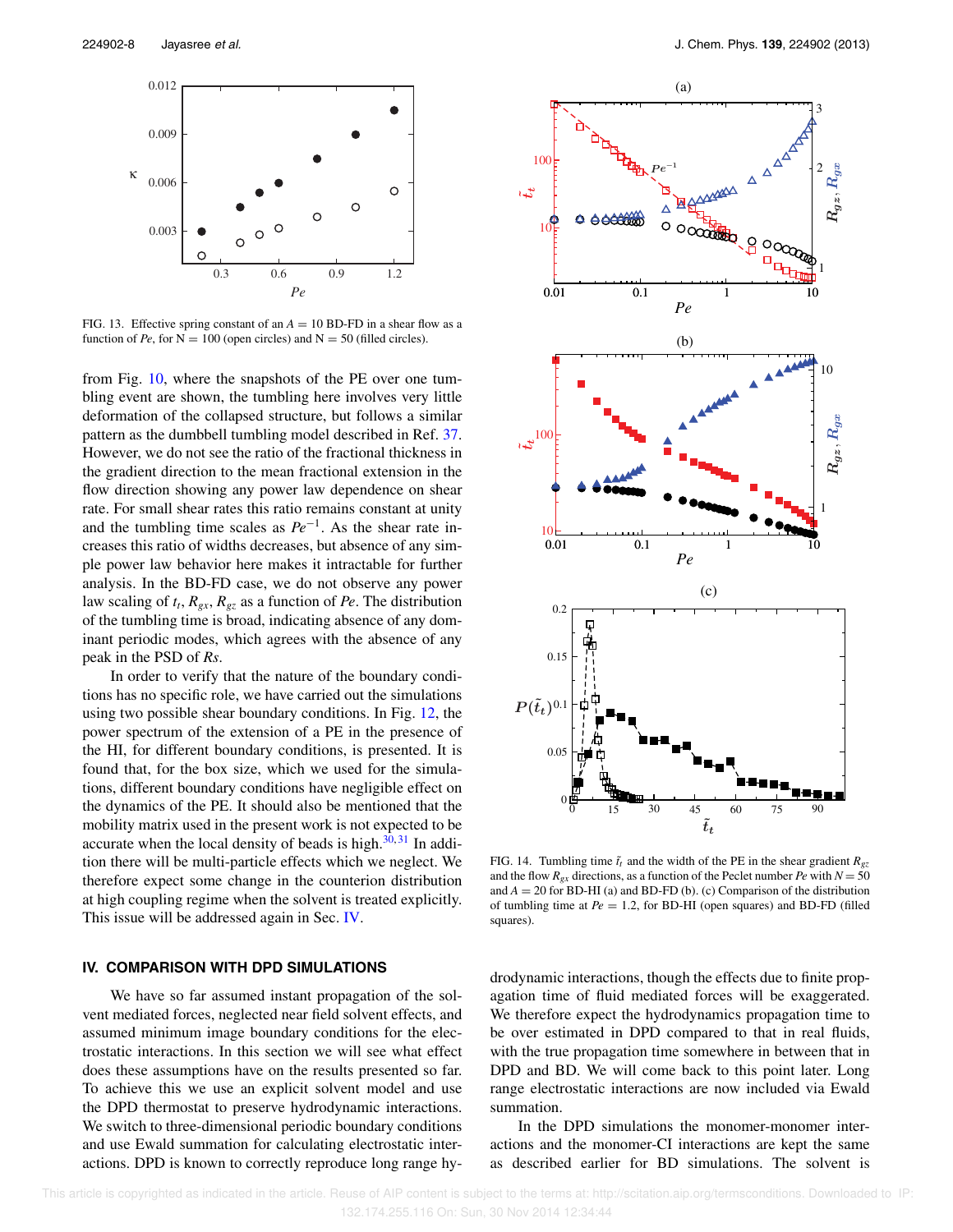

FIG. 13. Effective spring constant of an  $A = 10$  BD-FD in a shear flow as a function of *Pe*, for  $N = 100$  (open circles) and  $N = 50$  (filled circles).

from Fig. 10, where the snapshots of the PE over one tumbling event are shown, the tumbling here involves very little deformation of the collapsed structure, but follows a similar pattern as the dumbbell tumbling model described in Ref. 37. However, we do not see the ratio of the fractional thickness in the gradient direction to the mean fractional extension in the flow direction showing any power law dependence on shear rate. For small shear rates this ratio remains constant at unity and the tumbling time scales as *Pe*−<sup>1</sup> . As the shear rate increases this ratio of widths decreases, but absence of any simple power law behavior here makes it intractable for further analysis. In the BD-FD case, we do not observe any power law scaling of *t<sup>t</sup>* , *Rgx*, *Rgz* as a function of *Pe*. The distribution of the tumbling time is broad, indicating absence of any dominant periodic modes, which agrees with the absence of any peak in the PSD of *Rs*.

In order to verify that the nature of the boundary conditions has no specific role, we have carried out the simulations using two possible shear boundary conditions. In Fig. 12, the power spectrum of the extension of a PE in the presence of the HI, for different boundary conditions, is presented. It is found that, for the box size, which we used for the simulations, different boundary conditions have negligible effect on the dynamics of the PE. It should also be mentioned that the mobility matrix used in the present work is not expected to be accurate when the local density of beads is high. $30,31$  In addition there will be multi-particle effects which we neglect. We therefore expect some change in the counterion distribution at high coupling regime when the solvent is treated explicitly. This issue will be addressed again in Sec. IV.

#### **IV. COMPARISON WITH DPD SIMULATIONS**

We have so far assumed instant propagation of the solvent mediated forces, neglected near field solvent effects, and assumed minimum image boundary conditions for the electrostatic interactions. In this section we will see what effect does these assumptions have on the results presented so far. To achieve this we use an explicit solvent model and use the DPD thermostat to preserve hydrodynamic interactions. We switch to three-dimensional periodic boundary conditions and use Ewald summation for calculating electrostatic interactions. DPD is known to correctly reproduce long range hy-



FIG. 14. Tumbling time  $\tilde{t}_t$  and the width of the PE in the shear gradient  $R_{gz}$ and the flow  $R_{gx}$  directions, as a function of the Peclet number *Pe* with  $N = 50$ and  $A = 20$  for BD-HI (a) and BD-FD (b). (c) Comparison of the distribution of tumbling time at *Pe* = 1.2, for BD-HI (open squares) and BD-FD (filled squares).

drodynamic interactions, though the effects due to finite propagation time of fluid mediated forces will be exaggerated. We therefore expect the hydrodynamics propagation time to be over estimated in DPD compared to that in real fluids, with the true propagation time somewhere in between that in DPD and BD. We will come back to this point later. Long range electrostatic interactions are now included via Ewald summation.

In the DPD simulations the monomer-monomer interactions and the monomer-CI interactions are kept the same as described earlier for BD simulations. The solvent is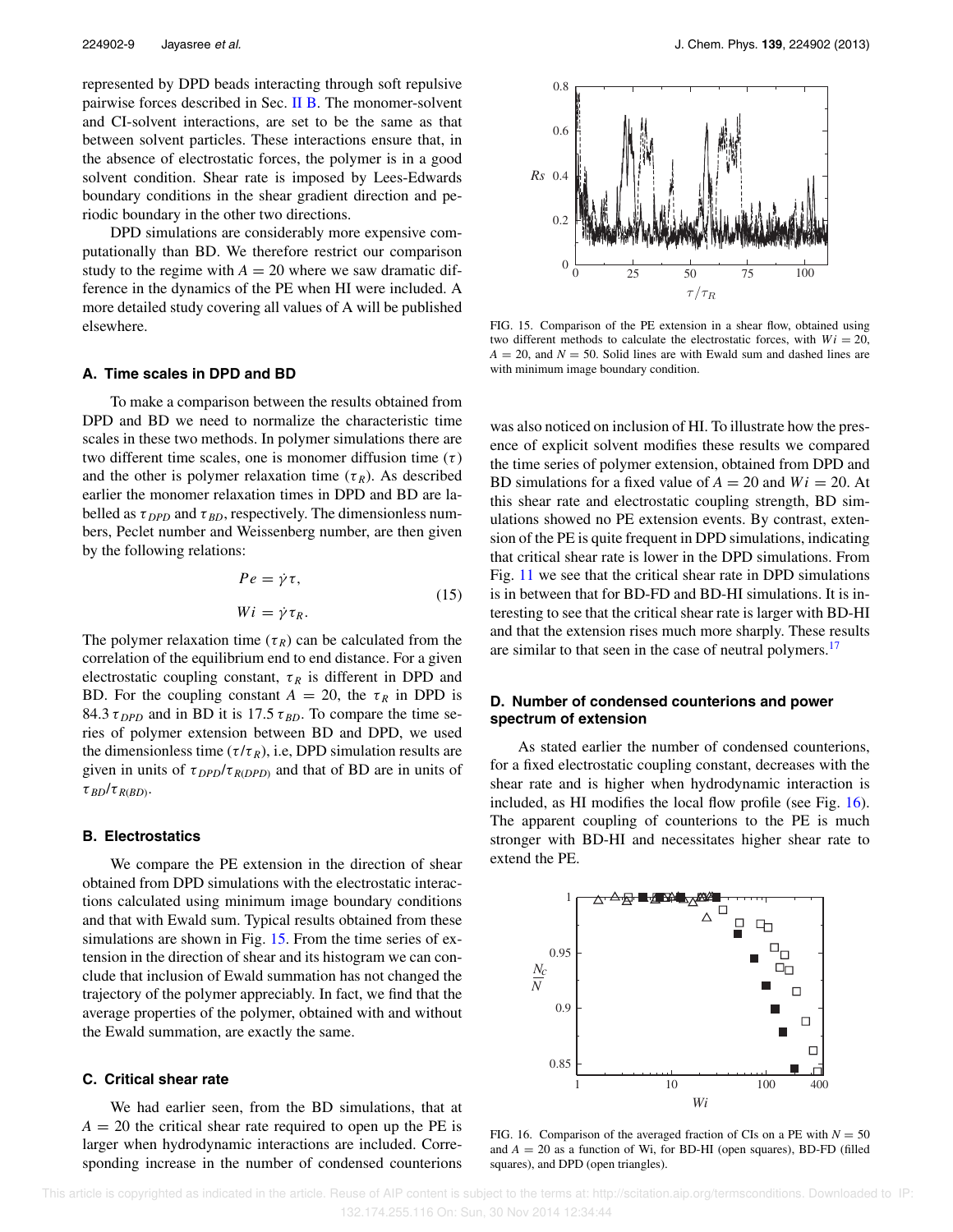represented by DPD beads interacting through soft repulsive pairwise forces described in Sec. II B. The monomer-solvent and CI-solvent interactions, are set to be the same as that between solvent particles. These interactions ensure that, in the absence of electrostatic forces, the polymer is in a good solvent condition. Shear rate is imposed by Lees-Edwards boundary conditions in the shear gradient direction and periodic boundary in the other two directions.

DPD simulations are considerably more expensive computationally than BD. We therefore restrict our comparison study to the regime with  $A = 20$  where we saw dramatic difference in the dynamics of the PE when HI were included. A more detailed study covering all values of A will be published elsewhere.

#### **A. Time scales in DPD and BD**

To make a comparison between the results obtained from DPD and BD we need to normalize the characteristic time scales in these two methods. In polymer simulations there are two different time scales, one is monomer diffusion time  $(\tau)$ and the other is polymer relaxation time  $(\tau_R)$ . As described earlier the monomer relaxation times in DPD and BD are labelled as  $\tau_{DPD}$  and  $\tau_{BD}$ , respectively. The dimensionless numbers, Peclet number and Weissenberg number, are then given by the following relations:

$$
Pe = \dot{\gamma}\tau,
$$
  
\n
$$
Wi = \dot{\gamma}\tau_R.
$$
\n(15)

The polymer relaxation time  $(\tau_R)$  can be calculated from the correlation of the equilibrium end to end distance. For a given electrostatic coupling constant,  $\tau_R$  is different in DPD and BD. For the coupling constant  $A = 20$ , the  $\tau_R$  in DPD is 84.3  $\tau_{DPD}$  and in BD it is 17.5  $\tau_{BD}$ . To compare the time series of polymer extension between BD and DPD, we used the dimensionless time  $(\tau/\tau_R)$ , i.e, DPD simulation results are given in units of  $\tau_{DPD}/\tau_{R(DPD)}$  and that of BD are in units of  $\tau_{BD}/\tau_{R(BD)}$ .

#### **B. Electrostatics**

We compare the PE extension in the direction of shear obtained from DPD simulations with the electrostatic interactions calculated using minimum image boundary conditions and that with Ewald sum. Typical results obtained from these simulations are shown in Fig. 15. From the time series of extension in the direction of shear and its histogram we can conclude that inclusion of Ewald summation has not changed the trajectory of the polymer appreciably. In fact, we find that the average properties of the polymer, obtained with and without the Ewald summation, are exactly the same.

#### **C. Critical shear rate**

We had earlier seen, from the BD simulations, that at  $A = 20$  the critical shear rate required to open up the PE is larger when hydrodynamic interactions are included. Corresponding increase in the number of condensed counterions



FIG. 15. Comparison of the PE extension in a shear flow, obtained using two different methods to calculate the electrostatic forces, with  $Wi = 20$ ,  $A = 20$ , and  $N = 50$ . Solid lines are with Ewald sum and dashed lines are with minimum image boundary condition.

was also noticed on inclusion of HI. To illustrate how the presence of explicit solvent modifies these results we compared the time series of polymer extension, obtained from DPD and BD simulations for a fixed value of  $A = 20$  and  $Wi = 20$ . At this shear rate and electrostatic coupling strength, BD simulations showed no PE extension events. By contrast, extension of the PE is quite frequent in DPD simulations, indicating that critical shear rate is lower in the DPD simulations. From Fig. 11 we see that the critical shear rate in DPD simulations is in between that for BD-FD and BD-HI simulations. It is interesting to see that the critical shear rate is larger with BD-HI and that the extension rises much more sharply. These results are similar to that seen in the case of neutral polymers.<sup>17</sup>

#### **D. Number of condensed counterions and power spectrum of extension**

As stated earlier the number of condensed counterions, for a fixed electrostatic coupling constant, decreases with the shear rate and is higher when hydrodynamic interaction is included, as HI modifies the local flow profile (see Fig. 16). The apparent coupling of counterions to the PE is much stronger with BD-HI and necessitates higher shear rate to extend the PE.



FIG. 16. Comparison of the averaged fraction of CIs on a PE with  $N = 50$ and  $A = 20$  as a function of Wi, for BD-HI (open squares), BD-FD (filled squares), and DPD (open triangles).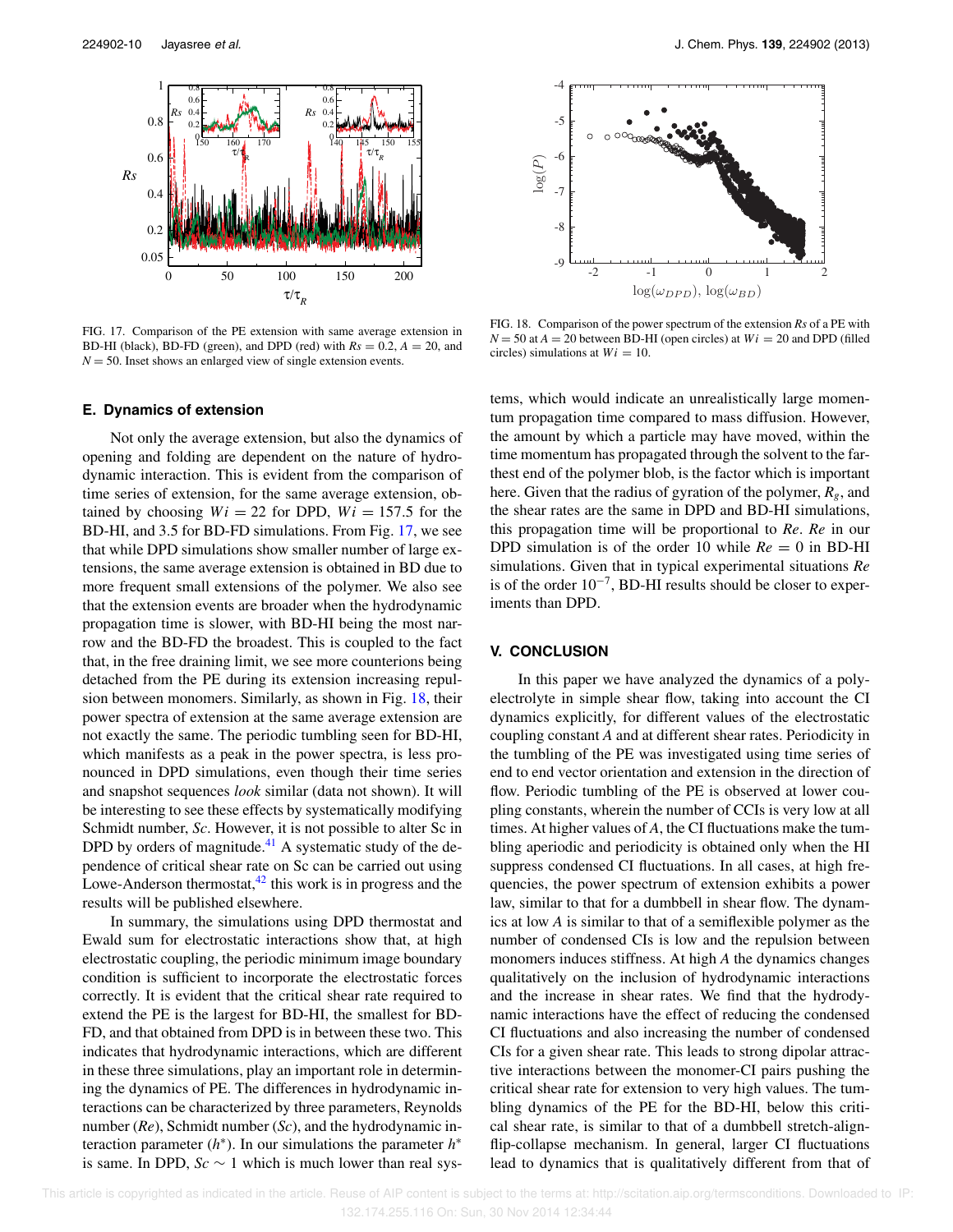

FIG. 17. Comparison of the PE extension with same average extension in BD-HI (black), BD-FD (green), and DPD (red) with  $Rs = 0.2$ ,  $A = 20$ , and  $N = 50$ . Inset shows an enlarged view of single extension events.

#### **E. Dynamics of extension**

Not only the average extension, but also the dynamics of opening and folding are dependent on the nature of hydrodynamic interaction. This is evident from the comparison of time series of extension, for the same average extension, obtained by choosing  $Wi = 22$  for DPD,  $Wi = 157.5$  for the BD-HI, and 3.5 for BD-FD simulations. From Fig. 17, we see that while DPD simulations show smaller number of large extensions, the same average extension is obtained in BD due to more frequent small extensions of the polymer. We also see that the extension events are broader when the hydrodynamic propagation time is slower, with BD-HI being the most narrow and the BD-FD the broadest. This is coupled to the fact that, in the free draining limit, we see more counterions being detached from the PE during its extension increasing repulsion between monomers. Similarly, as shown in Fig. 18, their power spectra of extension at the same average extension are not exactly the same. The periodic tumbling seen for BD-HI, which manifests as a peak in the power spectra, is less pronounced in DPD simulations, even though their time series and snapshot sequences *look* similar (data not shown). It will be interesting to see these effects by systematically modifying Schmidt number, *Sc*. However, it is not possible to alter Sc in DPD by orders of magnitude. $41$  A systematic study of the dependence of critical shear rate on Sc can be carried out using Lowe-Anderson thermostat, $42$  this work is in progress and the results will be published elsewhere.

In summary, the simulations using DPD thermostat and Ewald sum for electrostatic interactions show that, at high electrostatic coupling, the periodic minimum image boundary condition is sufficient to incorporate the electrostatic forces correctly. It is evident that the critical shear rate required to extend the PE is the largest for BD-HI, the smallest for BD-FD, and that obtained from DPD is in between these two. This indicates that hydrodynamic interactions, which are different in these three simulations, play an important role in determining the dynamics of PE. The differences in hydrodynamic interactions can be characterized by three parameters, Reynolds number (*Re*), Schmidt number (*Sc*), and the hydrodynamic interaction parameter (*h*<sup>\*</sup>). In our simulations the parameter *h*<sup>\*</sup> is same. In DPD,  $Sc \sim 1$  which is much lower than real sys-



FIG. 18. Comparison of the power spectrum of the extension *Rs* of a PE with  $N = 50$  at  $A = 20$  between BD-HI (open circles) at  $Wi = 20$  and DPD (filled circles) simulations at  $Wi = 10$ .

tems, which would indicate an unrealistically large momentum propagation time compared to mass diffusion. However, the amount by which a particle may have moved, within the time momentum has propagated through the solvent to the farthest end of the polymer blob, is the factor which is important here. Given that the radius of gyration of the polymer, *Rg*, and the shear rates are the same in DPD and BD-HI simulations, this propagation time will be proportional to *Re*. *Re* in our DPD simulation is of the order 10 while  $Re = 0$  in BD-HI simulations. Given that in typical experimental situations *Re* is of the order  $10^{-7}$ , BD-HI results should be closer to experiments than DPD.

#### **V. CONCLUSION**

In this paper we have analyzed the dynamics of a polyelectrolyte in simple shear flow, taking into account the CI dynamics explicitly, for different values of the electrostatic coupling constant *A* and at different shear rates. Periodicity in the tumbling of the PE was investigated using time series of end to end vector orientation and extension in the direction of flow. Periodic tumbling of the PE is observed at lower coupling constants, wherein the number of CCIs is very low at all times. At higher values of *A*, the CI fluctuations make the tumbling aperiodic and periodicity is obtained only when the HI suppress condensed CI fluctuations. In all cases, at high frequencies, the power spectrum of extension exhibits a power law, similar to that for a dumbbell in shear flow. The dynamics at low *A* is similar to that of a semiflexible polymer as the number of condensed CIs is low and the repulsion between monomers induces stiffness. At high *A* the dynamics changes qualitatively on the inclusion of hydrodynamic interactions and the increase in shear rates. We find that the hydrodynamic interactions have the effect of reducing the condensed CI fluctuations and also increasing the number of condensed CIs for a given shear rate. This leads to strong dipolar attractive interactions between the monomer-CI pairs pushing the critical shear rate for extension to very high values. The tumbling dynamics of the PE for the BD-HI, below this critical shear rate, is similar to that of a dumbbell stretch-alignflip-collapse mechanism. In general, larger CI fluctuations lead to dynamics that is qualitatively different from that of